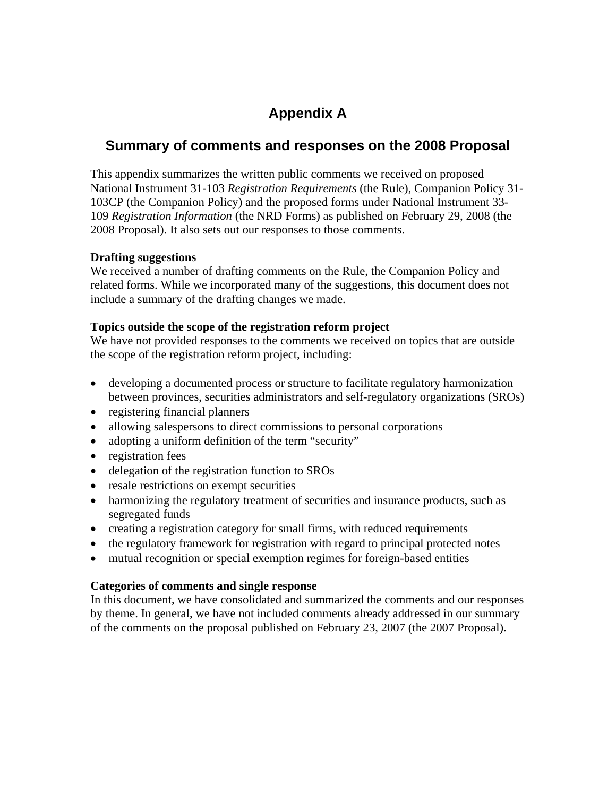# **Appendix A**

# **Summary of comments and responses on the 2008 Proposal**

This appendix summarizes the written public comments we received on proposed National Instrument 31-103 *Registration Requirements* (the Rule), Companion Policy 31- 103CP (the Companion Policy) and the proposed forms under National Instrument 33- 109 *Registration Information* (the NRD Forms) as published on February 29, 2008 (the 2008 Proposal). It also sets out our responses to those comments.

### **Drafting suggestions**

We received a number of drafting comments on the Rule, the Companion Policy and related forms. While we incorporated many of the suggestions, this document does not include a summary of the drafting changes we made.

### **Topics outside the scope of the registration reform project**

We have not provided responses to the comments we received on topics that are outside the scope of the registration reform project, including:

- developing a documented process or structure to facilitate regulatory harmonization between provinces, securities administrators and self-regulatory organizations (SROs)
- registering financial planners
- allowing salespersons to direct commissions to personal corporations
- adopting a uniform definition of the term "security"
- registration fees
- delegation of the registration function to SROs
- resale restrictions on exempt securities
- harmonizing the regulatory treatment of securities and insurance products, such as segregated funds
- creating a registration category for small firms, with reduced requirements
- the regulatory framework for registration with regard to principal protected notes
- mutual recognition or special exemption regimes for foreign-based entities

### **Categories of comments and single response**

In this document, we have consolidated and summarized the comments and our responses by theme. In general, we have not included comments already addressed in our summary of the comments on the proposal published on February 23, 2007 (the 2007 Proposal).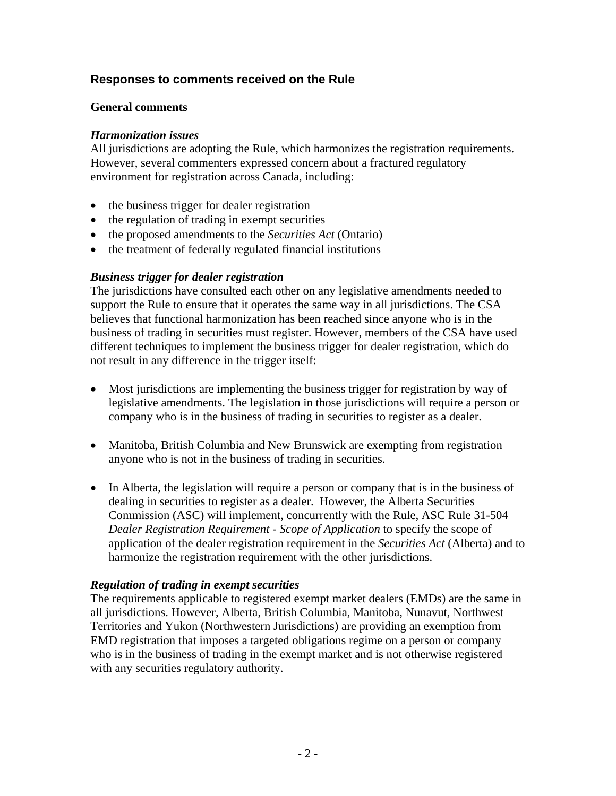# **Responses to comments received on the Rule**

### **General comments**

### *Harmonization issues*

All jurisdictions are adopting the Rule, which harmonizes the registration requirements. However, several commenters expressed concern about a fractured regulatory environment for registration across Canada, including:

- the business trigger for dealer registration
- the regulation of trading in exempt securities
- the proposed amendments to the *Securities Act* (Ontario)
- the treatment of federally regulated financial institutions

### *Business trigger for dealer registration*

The jurisdictions have consulted each other on any legislative amendments needed to support the Rule to ensure that it operates the same way in all jurisdictions. The CSA believes that functional harmonization has been reached since anyone who is in the business of trading in securities must register. However, members of the CSA have used different techniques to implement the business trigger for dealer registration, which do not result in any difference in the trigger itself:

- Most jurisdictions are implementing the business trigger for registration by way of legislative amendments. The legislation in those jurisdictions will require a person or company who is in the business of trading in securities to register as a dealer.
- Manitoba, British Columbia and New Brunswick are exempting from registration anyone who is not in the business of trading in securities.
- In Alberta, the legislation will require a person or company that is in the business of dealing in securities to register as a dealer. However, the Alberta Securities Commission (ASC) will implement, concurrently with the Rule, ASC Rule 31-504 *Dealer Registration Requirement - Scope of Application* to specify the scope of application of the dealer registration requirement in the *Securities Act* (Alberta) and to harmonize the registration requirement with the other jurisdictions.

#### *Regulation of trading in exempt securities*

The requirements applicable to registered exempt market dealers (EMDs) are the same in all jurisdictions. However, Alberta, British Columbia, Manitoba, Nunavut, Northwest Territories and Yukon (Northwestern Jurisdictions) are providing an exemption from EMD registration that imposes a targeted obligations regime on a person or company who is in the business of trading in the exempt market and is not otherwise registered with any securities regulatory authority.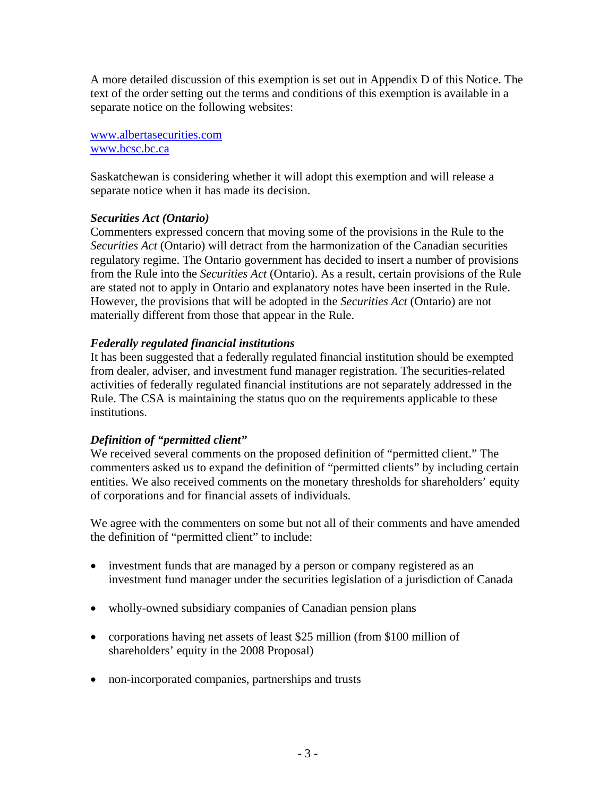A more detailed discussion of this exemption is set out in Appendix D of this Notice. The text of the order setting out the terms and conditions of this exemption is available in a separate notice on the following websites:

www.albertasecurities.com www.bcsc.bc.ca

Saskatchewan is considering whether it will adopt this exemption and will release a separate notice when it has made its decision.

### *Securities Act (Ontario)*

Commenters expressed concern that moving some of the provisions in the Rule to the *Securities Act* (Ontario) will detract from the harmonization of the Canadian securities regulatory regime. The Ontario government has decided to insert a number of provisions from the Rule into the *Securities Act* (Ontario). As a result, certain provisions of the Rule are stated not to apply in Ontario and explanatory notes have been inserted in the Rule. However, the provisions that will be adopted in the *Securities Act* (Ontario) are not materially different from those that appear in the Rule.

# *Federally regulated financial institutions*

It has been suggested that a federally regulated financial institution should be exempted from dealer, adviser, and investment fund manager registration. The securities-related activities of federally regulated financial institutions are not separately addressed in the Rule. The CSA is maintaining the status quo on the requirements applicable to these institutions.

### *Definition of "permitted client"*

We received several comments on the proposed definition of "permitted client." The commenters asked us to expand the definition of "permitted clients" by including certain entities. We also received comments on the monetary thresholds for shareholders' equity of corporations and for financial assets of individuals.

We agree with the commenters on some but not all of their comments and have amended the definition of "permitted client" to include:

- investment funds that are managed by a person or company registered as an investment fund manager under the securities legislation of a jurisdiction of Canada
- wholly-owned subsidiary companies of Canadian pension plans
- corporations having net assets of least \$25 million (from \$100 million of shareholders' equity in the 2008 Proposal)
- non-incorporated companies, partnerships and trusts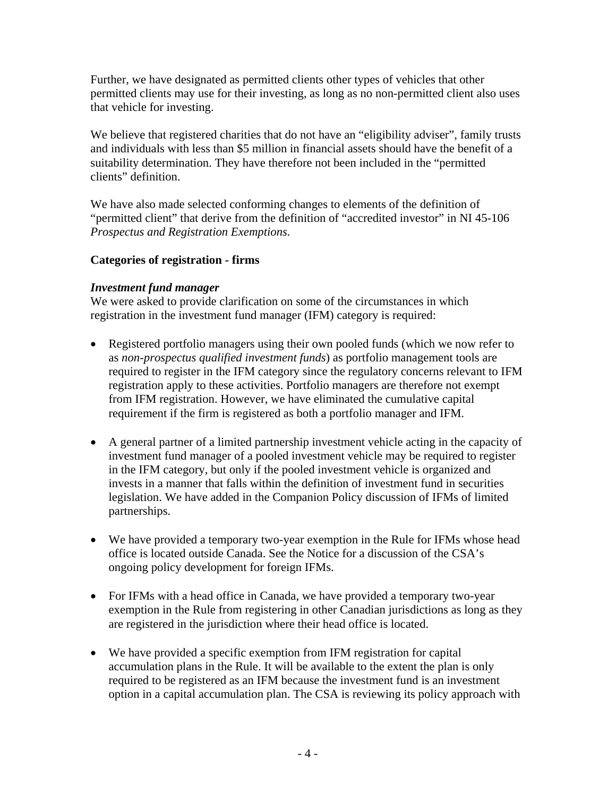Further, we have designated as permitted clients other types of vehicles that other permitted clients may use for their investing, as long as no non-permitted client also uses that vehicle for investing.

We believe that registered charities that do not have an "eligibility adviser", family trusts and individuals with less than \$5 million in financial assets should have the benefit of a suitability determination. They have therefore not been included in the "permitted clients" definition.

We have also made selected conforming changes to elements of the definition of "permitted client" that derive from the definition of "accredited investor" in NI 45-106 *Prospectus and Registration Exemptions.* 

# **Categories of registration - firms**

### *Investment fund manager*

We were asked to provide clarification on some of the circumstances in which registration in the investment fund manager (IFM) category is required:

- Registered portfolio managers using their own pooled funds (which we now refer to as *non-prospectus qualified investment funds*) as portfolio management tools are required to register in the IFM category since the regulatory concerns relevant to IFM registration apply to these activities. Portfolio managers are therefore not exempt from IFM registration. However, we have eliminated the cumulative capital requirement if the firm is registered as both a portfolio manager and IFM.
- A general partner of a limited partnership investment vehicle acting in the capacity of investment fund manager of a pooled investment vehicle may be required to register in the IFM category, but only if the pooled investment vehicle is organized and invests in a manner that falls within the definition of investment fund in securities legislation. We have added in the Companion Policy discussion of IFMs of limited partnerships.
- We have provided a temporary two-year exemption in the Rule for IFMs whose head office is located outside Canada. See the Notice for a discussion of the CSA's ongoing policy development for foreign IFMs.
- For IFMs with a head office in Canada, we have provided a temporary two-year exemption in the Rule from registering in other Canadian jurisdictions as long as they are registered in the jurisdiction where their head office is located.
- We have provided a specific exemption from IFM registration for capital accumulation plans in the Rule. It will be available to the extent the plan is only required to be registered as an IFM because the investment fund is an investment option in a capital accumulation plan. The CSA is reviewing its policy approach with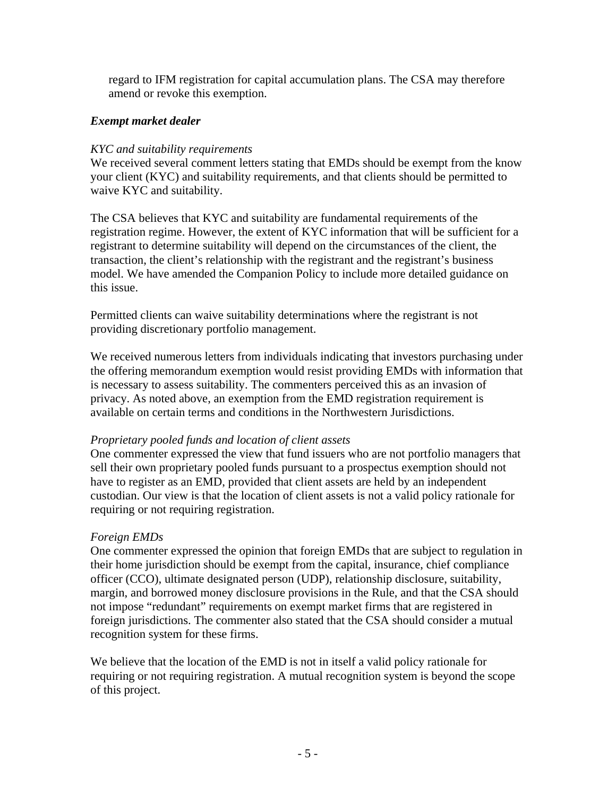regard to IFM registration for capital accumulation plans. The CSA may therefore amend or revoke this exemption.

### *Exempt market dealer*

### *KYC and suitability requirements*

We received several comment letters stating that EMDs should be exempt from the know your client (KYC) and suitability requirements, and that clients should be permitted to waive KYC and suitability.

The CSA believes that KYC and suitability are fundamental requirements of the registration regime. However, the extent of KYC information that will be sufficient for a registrant to determine suitability will depend on the circumstances of the client, the transaction, the client's relationship with the registrant and the registrant's business model. We have amended the Companion Policy to include more detailed guidance on this issue.

Permitted clients can waive suitability determinations where the registrant is not providing discretionary portfolio management.

We received numerous letters from individuals indicating that investors purchasing under the offering memorandum exemption would resist providing EMDs with information that is necessary to assess suitability. The commenters perceived this as an invasion of privacy. As noted above, an exemption from the EMD registration requirement is available on certain terms and conditions in the Northwestern Jurisdictions.

#### *Proprietary pooled funds and location of client assets*

One commenter expressed the view that fund issuers who are not portfolio managers that sell their own proprietary pooled funds pursuant to a prospectus exemption should not have to register as an EMD, provided that client assets are held by an independent custodian. Our view is that the location of client assets is not a valid policy rationale for requiring or not requiring registration.

### *Foreign EMDs*

One commenter expressed the opinion that foreign EMDs that are subject to regulation in their home jurisdiction should be exempt from the capital, insurance, chief compliance officer (CCO), ultimate designated person (UDP), relationship disclosure, suitability, margin, and borrowed money disclosure provisions in the Rule, and that the CSA should not impose "redundant" requirements on exempt market firms that are registered in foreign jurisdictions. The commenter also stated that the CSA should consider a mutual recognition system for these firms.

We believe that the location of the EMD is not in itself a valid policy rationale for requiring or not requiring registration. A mutual recognition system is beyond the scope of this project.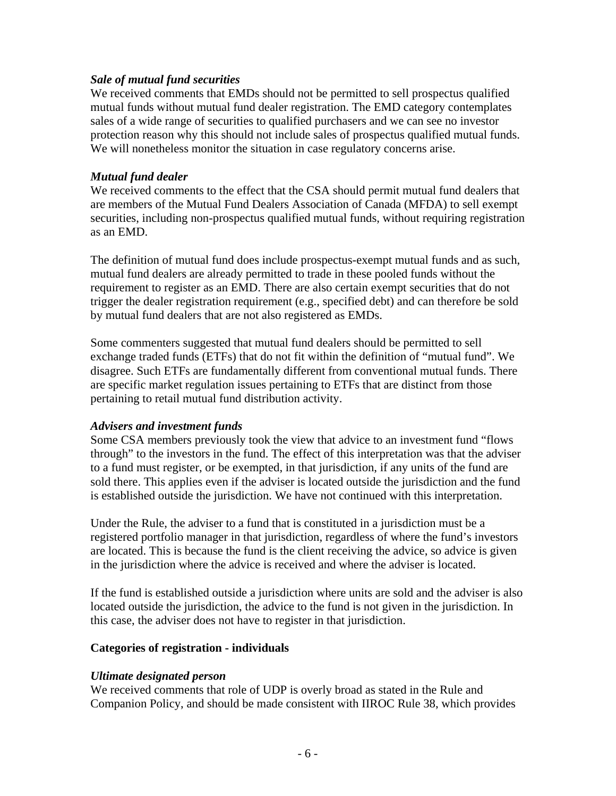### *Sale of mutual fund securities*

We received comments that EMDs should not be permitted to sell prospectus qualified mutual funds without mutual fund dealer registration. The EMD category contemplates sales of a wide range of securities to qualified purchasers and we can see no investor protection reason why this should not include sales of prospectus qualified mutual funds. We will nonetheless monitor the situation in case regulatory concerns arise.

#### *Mutual fund dealer*

We received comments to the effect that the CSA should permit mutual fund dealers that are members of the Mutual Fund Dealers Association of Canada (MFDA) to sell exempt securities, including non-prospectus qualified mutual funds, without requiring registration as an EMD.

The definition of mutual fund does include prospectus-exempt mutual funds and as such, mutual fund dealers are already permitted to trade in these pooled funds without the requirement to register as an EMD. There are also certain exempt securities that do not trigger the dealer registration requirement (e.g., specified debt) and can therefore be sold by mutual fund dealers that are not also registered as EMDs.

Some commenters suggested that mutual fund dealers should be permitted to sell exchange traded funds (ETFs) that do not fit within the definition of "mutual fund". We disagree. Such ETFs are fundamentally different from conventional mutual funds. There are specific market regulation issues pertaining to ETFs that are distinct from those pertaining to retail mutual fund distribution activity.

#### *Advisers and investment funds*

Some CSA members previously took the view that advice to an investment fund "flows through" to the investors in the fund. The effect of this interpretation was that the adviser to a fund must register, or be exempted, in that jurisdiction, if any units of the fund are sold there. This applies even if the adviser is located outside the jurisdiction and the fund is established outside the jurisdiction. We have not continued with this interpretation.

Under the Rule, the adviser to a fund that is constituted in a jurisdiction must be a registered portfolio manager in that jurisdiction, regardless of where the fund's investors are located. This is because the fund is the client receiving the advice, so advice is given in the jurisdiction where the advice is received and where the adviser is located.

If the fund is established outside a jurisdiction where units are sold and the adviser is also located outside the jurisdiction, the advice to the fund is not given in the jurisdiction. In this case, the adviser does not have to register in that jurisdiction.

#### **Categories of registration - individuals**

#### *Ultimate designated person*

We received comments that role of UDP is overly broad as stated in the Rule and Companion Policy, and should be made consistent with IIROC Rule 38, which provides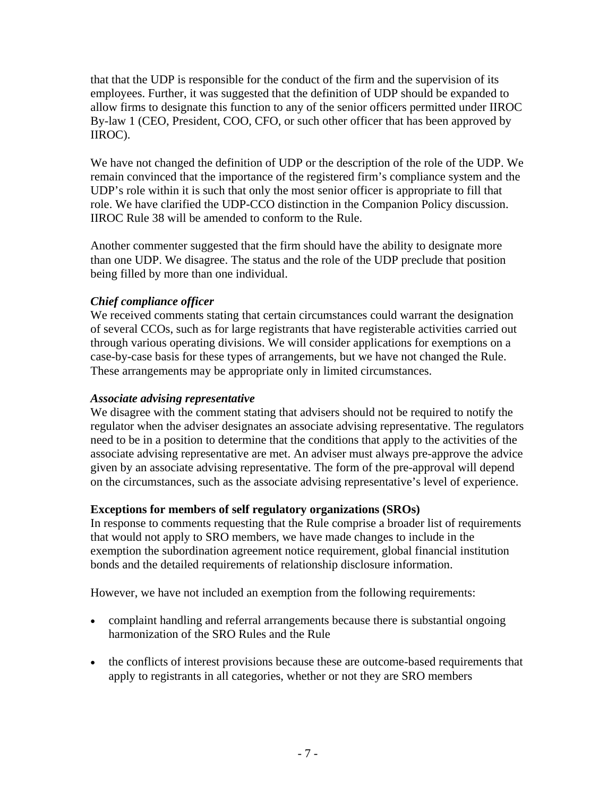that that the UDP is responsible for the conduct of the firm and the supervision of its employees. Further, it was suggested that the definition of UDP should be expanded to allow firms to designate this function to any of the senior officers permitted under IIROC By-law 1 (CEO, President, COO, CFO, or such other officer that has been approved by IIROC).

We have not changed the definition of UDP or the description of the role of the UDP. We remain convinced that the importance of the registered firm's compliance system and the UDP's role within it is such that only the most senior officer is appropriate to fill that role. We have clarified the UDP-CCO distinction in the Companion Policy discussion. IIROC Rule 38 will be amended to conform to the Rule.

Another commenter suggested that the firm should have the ability to designate more than one UDP. We disagree. The status and the role of the UDP preclude that position being filled by more than one individual.

# *Chief compliance officer*

We received comments stating that certain circumstances could warrant the designation of several CCOs, such as for large registrants that have registerable activities carried out through various operating divisions. We will consider applications for exemptions on a case-by-case basis for these types of arrangements, but we have not changed the Rule. These arrangements may be appropriate only in limited circumstances.

### *Associate advising representative*

We disagree with the comment stating that advisers should not be required to notify the regulator when the adviser designates an associate advising representative. The regulators need to be in a position to determine that the conditions that apply to the activities of the associate advising representative are met. An adviser must always pre-approve the advice given by an associate advising representative. The form of the pre-approval will depend on the circumstances, such as the associate advising representative's level of experience.

### **Exceptions for members of self regulatory organizations (SROs)**

In response to comments requesting that the Rule comprise a broader list of requirements that would not apply to SRO members, we have made changes to include in the exemption the subordination agreement notice requirement, global financial institution bonds and the detailed requirements of relationship disclosure information.

However, we have not included an exemption from the following requirements:

- complaint handling and referral arrangements because there is substantial ongoing harmonization of the SRO Rules and the Rule
- the conflicts of interest provisions because these are outcome-based requirements that apply to registrants in all categories, whether or not they are SRO members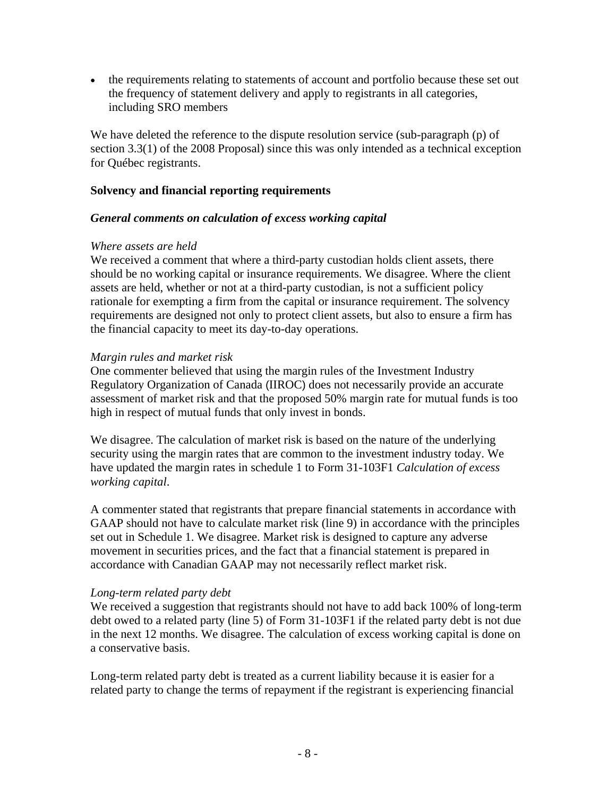• the requirements relating to statements of account and portfolio because these set out the frequency of statement delivery and apply to registrants in all categories, including SRO members

We have deleted the reference to the dispute resolution service (sub-paragraph (p) of section 3.3(1) of the 2008 Proposal) since this was only intended as a technical exception for Québec registrants.

### **Solvency and financial reporting requirements**

### *General comments on calculation of excess working capital*

### *Where assets are held*

We received a comment that where a third-party custodian holds client assets, there should be no working capital or insurance requirements. We disagree. Where the client assets are held, whether or not at a third-party custodian, is not a sufficient policy rationale for exempting a firm from the capital or insurance requirement. The solvency requirements are designed not only to protect client assets, but also to ensure a firm has the financial capacity to meet its day-to-day operations.

### *Margin rules and market risk*

One commenter believed that using the margin rules of the Investment Industry Regulatory Organization of Canada (IIROC) does not necessarily provide an accurate assessment of market risk and that the proposed 50% margin rate for mutual funds is too high in respect of mutual funds that only invest in bonds.

We disagree. The calculation of market risk is based on the nature of the underlying security using the margin rates that are common to the investment industry today. We have updated the margin rates in schedule 1 to Form 31-103F1 *Calculation of excess working capital*.

A commenter stated that registrants that prepare financial statements in accordance with GAAP should not have to calculate market risk (line 9) in accordance with the principles set out in Schedule 1. We disagree. Market risk is designed to capture any adverse movement in securities prices, and the fact that a financial statement is prepared in accordance with Canadian GAAP may not necessarily reflect market risk.

#### *Long-term related party debt*

We received a suggestion that registrants should not have to add back 100% of long-term debt owed to a related party (line 5) of Form 31-103F1 if the related party debt is not due in the next 12 months. We disagree. The calculation of excess working capital is done on a conservative basis.

Long-term related party debt is treated as a current liability because it is easier for a related party to change the terms of repayment if the registrant is experiencing financial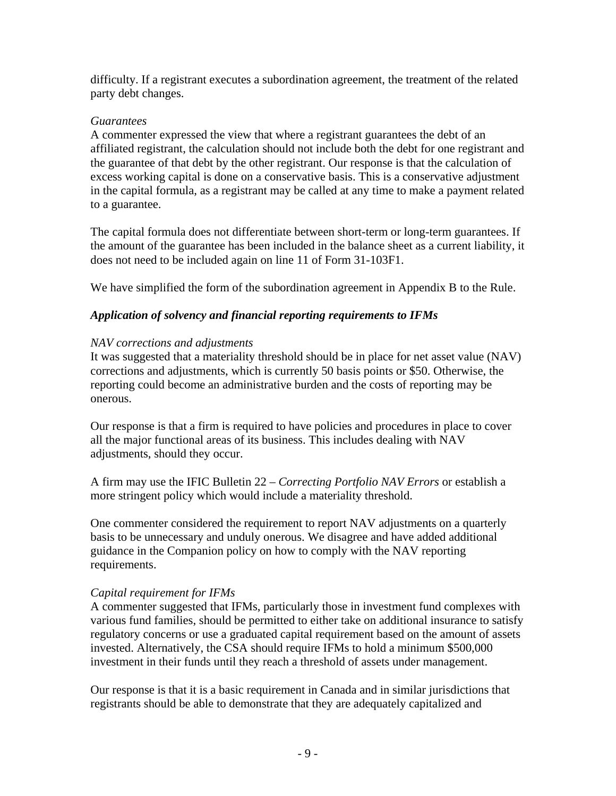difficulty. If a registrant executes a subordination agreement, the treatment of the related party debt changes.

### *Guarantees*

A commenter expressed the view that where a registrant guarantees the debt of an affiliated registrant, the calculation should not include both the debt for one registrant and the guarantee of that debt by the other registrant. Our response is that the calculation of excess working capital is done on a conservative basis. This is a conservative adjustment in the capital formula, as a registrant may be called at any time to make a payment related to a guarantee.

The capital formula does not differentiate between short-term or long-term guarantees. If the amount of the guarantee has been included in the balance sheet as a current liability, it does not need to be included again on line 11 of Form 31-103F1.

We have simplified the form of the subordination agreement in Appendix B to the Rule.

# *Application of solvency and financial reporting requirements to IFMs*

### *NAV corrections and adjustments*

It was suggested that a materiality threshold should be in place for net asset value (NAV) corrections and adjustments, which is currently 50 basis points or \$50. Otherwise, the reporting could become an administrative burden and the costs of reporting may be onerous.

Our response is that a firm is required to have policies and procedures in place to cover all the major functional areas of its business. This includes dealing with NAV adjustments, should they occur.

A firm may use the IFIC Bulletin 22 – *Correcting Portfolio NAV Errors* or establish a more stringent policy which would include a materiality threshold.

One commenter considered the requirement to report NAV adjustments on a quarterly basis to be unnecessary and unduly onerous. We disagree and have added additional guidance in the Companion policy on how to comply with the NAV reporting requirements.

### *Capital requirement for IFMs*

A commenter suggested that IFMs, particularly those in investment fund complexes with various fund families, should be permitted to either take on additional insurance to satisfy regulatory concerns or use a graduated capital requirement based on the amount of assets invested. Alternatively, the CSA should require IFMs to hold a minimum \$500,000 investment in their funds until they reach a threshold of assets under management.

Our response is that it is a basic requirement in Canada and in similar jurisdictions that registrants should be able to demonstrate that they are adequately capitalized and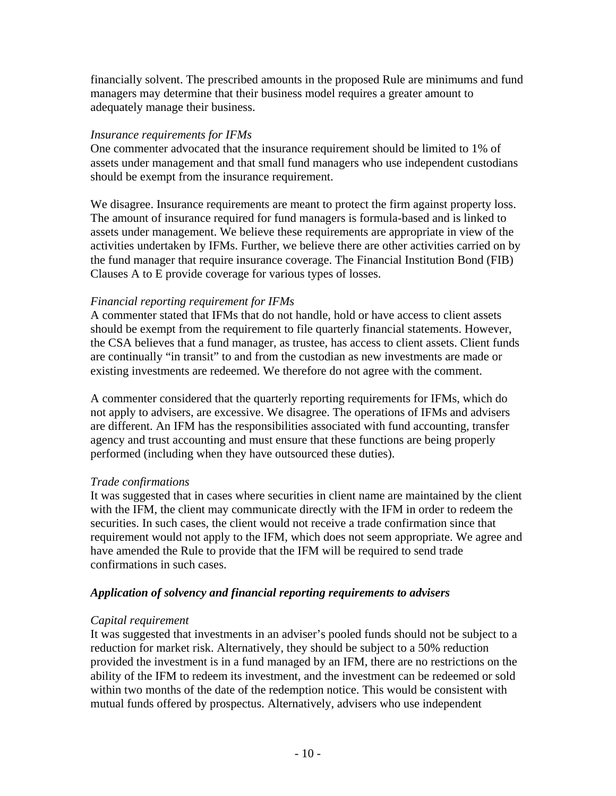financially solvent. The prescribed amounts in the proposed Rule are minimums and fund managers may determine that their business model requires a greater amount to adequately manage their business.

### *Insurance requirements for IFMs*

One commenter advocated that the insurance requirement should be limited to 1% of assets under management and that small fund managers who use independent custodians should be exempt from the insurance requirement.

We disagree. Insurance requirements are meant to protect the firm against property loss. The amount of insurance required for fund managers is formula-based and is linked to assets under management. We believe these requirements are appropriate in view of the activities undertaken by IFMs. Further, we believe there are other activities carried on by the fund manager that require insurance coverage. The Financial Institution Bond (FIB) Clauses A to E provide coverage for various types of losses.

### *Financial reporting requirement for IFMs*

A commenter stated that IFMs that do not handle, hold or have access to client assets should be exempt from the requirement to file quarterly financial statements. However, the CSA believes that a fund manager, as trustee, has access to client assets. Client funds are continually "in transit" to and from the custodian as new investments are made or existing investments are redeemed. We therefore do not agree with the comment.

A commenter considered that the quarterly reporting requirements for IFMs, which do not apply to advisers, are excessive. We disagree. The operations of IFMs and advisers are different. An IFM has the responsibilities associated with fund accounting, transfer agency and trust accounting and must ensure that these functions are being properly performed (including when they have outsourced these duties).

### *Trade confirmations*

It was suggested that in cases where securities in client name are maintained by the client with the IFM, the client may communicate directly with the IFM in order to redeem the securities. In such cases, the client would not receive a trade confirmation since that requirement would not apply to the IFM, which does not seem appropriate. We agree and have amended the Rule to provide that the IFM will be required to send trade confirmations in such cases.

### *Application of solvency and financial reporting requirements to advisers*

### *Capital requirement*

It was suggested that investments in an adviser's pooled funds should not be subject to a reduction for market risk. Alternatively, they should be subject to a 50% reduction provided the investment is in a fund managed by an IFM, there are no restrictions on the ability of the IFM to redeem its investment, and the investment can be redeemed or sold within two months of the date of the redemption notice. This would be consistent with mutual funds offered by prospectus. Alternatively, advisers who use independent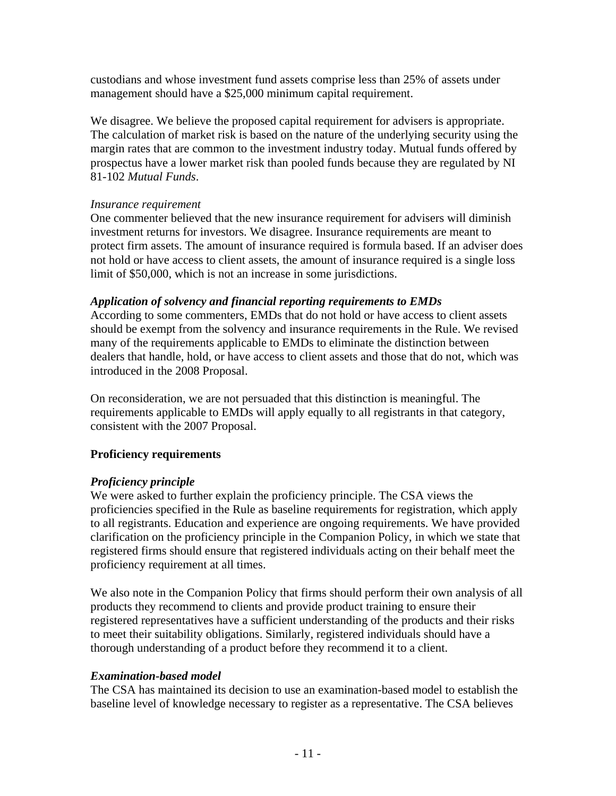custodians and whose investment fund assets comprise less than 25% of assets under management should have a \$25,000 minimum capital requirement.

We disagree. We believe the proposed capital requirement for advisers is appropriate. The calculation of market risk is based on the nature of the underlying security using the margin rates that are common to the investment industry today. Mutual funds offered by prospectus have a lower market risk than pooled funds because they are regulated by NI 81-102 *Mutual Funds*.

### *Insurance requirement*

One commenter believed that the new insurance requirement for advisers will diminish investment returns for investors. We disagree. Insurance requirements are meant to protect firm assets. The amount of insurance required is formula based. If an adviser does not hold or have access to client assets, the amount of insurance required is a single loss limit of \$50,000, which is not an increase in some jurisdictions.

### *Application of solvency and financial reporting requirements to EMDs*

According to some commenters, EMDs that do not hold or have access to client assets should be exempt from the solvency and insurance requirements in the Rule. We revised many of the requirements applicable to EMDs to eliminate the distinction between dealers that handle, hold, or have access to client assets and those that do not, which was introduced in the 2008 Proposal.

On reconsideration, we are not persuaded that this distinction is meaningful. The requirements applicable to EMDs will apply equally to all registrants in that category, consistent with the 2007 Proposal.

### **Proficiency requirements**

### *Proficiency principle*

We were asked to further explain the proficiency principle. The CSA views the proficiencies specified in the Rule as baseline requirements for registration, which apply to all registrants. Education and experience are ongoing requirements. We have provided clarification on the proficiency principle in the Companion Policy, in which we state that registered firms should ensure that registered individuals acting on their behalf meet the proficiency requirement at all times.

We also note in the Companion Policy that firms should perform their own analysis of all products they recommend to clients and provide product training to ensure their registered representatives have a sufficient understanding of the products and their risks to meet their suitability obligations. Similarly, registered individuals should have a thorough understanding of a product before they recommend it to a client.

### *Examination-based model*

The CSA has maintained its decision to use an examination-based model to establish the baseline level of knowledge necessary to register as a representative. The CSA believes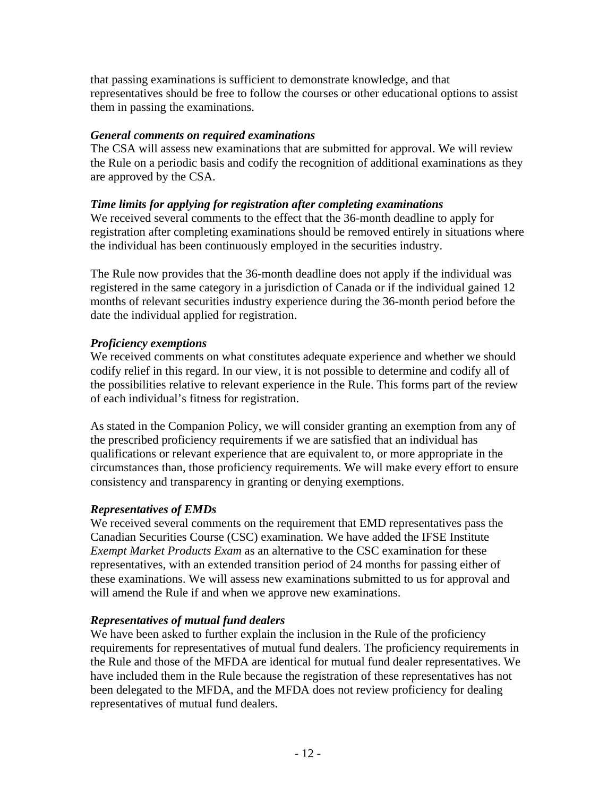that passing examinations is sufficient to demonstrate knowledge, and that representatives should be free to follow the courses or other educational options to assist them in passing the examinations.

### *General comments on required examinations*

The CSA will assess new examinations that are submitted for approval. We will review the Rule on a periodic basis and codify the recognition of additional examinations as they are approved by the CSA.

### *Time limits for applying for registration after completing examinations*

We received several comments to the effect that the 36-month deadline to apply for registration after completing examinations should be removed entirely in situations where the individual has been continuously employed in the securities industry.

The Rule now provides that the 36-month deadline does not apply if the individual was registered in the same category in a jurisdiction of Canada or if the individual gained 12 months of relevant securities industry experience during the 36-month period before the date the individual applied for registration.

# *Proficiency exemptions*

We received comments on what constitutes adequate experience and whether we should codify relief in this regard. In our view, it is not possible to determine and codify all of the possibilities relative to relevant experience in the Rule. This forms part of the review of each individual's fitness for registration.

As stated in the Companion Policy, we will consider granting an exemption from any of the prescribed proficiency requirements if we are satisfied that an individual has qualifications or relevant experience that are equivalent to, or more appropriate in the circumstances than, those proficiency requirements. We will make every effort to ensure consistency and transparency in granting or denying exemptions.

### *Representatives of EMDs*

We received several comments on the requirement that EMD representatives pass the Canadian Securities Course (CSC) examination. We have added the IFSE Institute *Exempt Market Products Exam* as an alternative to the CSC examination for these representatives, with an extended transition period of 24 months for passing either of these examinations. We will assess new examinations submitted to us for approval and will amend the Rule if and when we approve new examinations.

### *Representatives of mutual fund dealers*

We have been asked to further explain the inclusion in the Rule of the proficiency requirements for representatives of mutual fund dealers. The proficiency requirements in the Rule and those of the MFDA are identical for mutual fund dealer representatives. We have included them in the Rule because the registration of these representatives has not been delegated to the MFDA, and the MFDA does not review proficiency for dealing representatives of mutual fund dealers.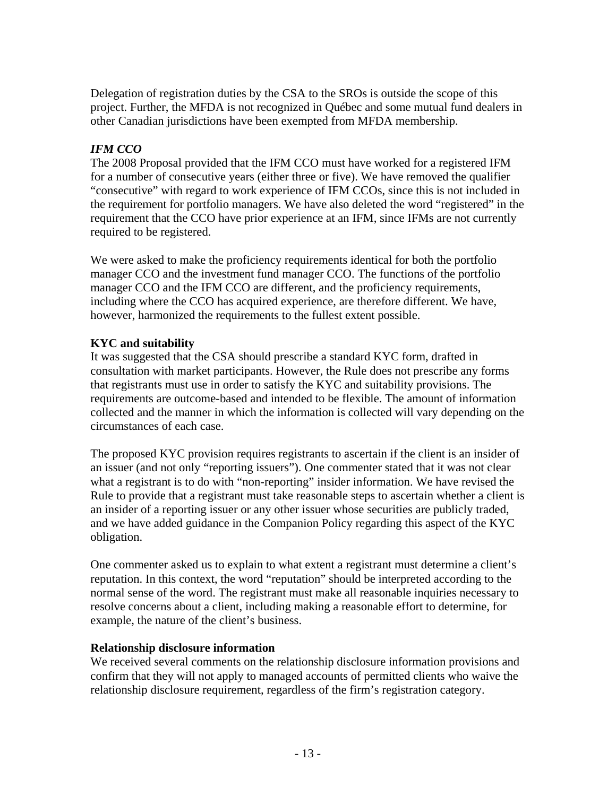Delegation of registration duties by the CSA to the SROs is outside the scope of this project. Further, the MFDA is not recognized in Québec and some mutual fund dealers in other Canadian jurisdictions have been exempted from MFDA membership.

# *IFM CCO*

The 2008 Proposal provided that the IFM CCO must have worked for a registered IFM for a number of consecutive years (either three or five). We have removed the qualifier "consecutive" with regard to work experience of IFM CCOs, since this is not included in the requirement for portfolio managers. We have also deleted the word "registered" in the requirement that the CCO have prior experience at an IFM, since IFMs are not currently required to be registered.

We were asked to make the proficiency requirements identical for both the portfolio manager CCO and the investment fund manager CCO. The functions of the portfolio manager CCO and the IFM CCO are different, and the proficiency requirements, including where the CCO has acquired experience, are therefore different. We have, however, harmonized the requirements to the fullest extent possible.

# **KYC and suitability**

It was suggested that the CSA should prescribe a standard KYC form, drafted in consultation with market participants. However, the Rule does not prescribe any forms that registrants must use in order to satisfy the KYC and suitability provisions. The requirements are outcome-based and intended to be flexible. The amount of information collected and the manner in which the information is collected will vary depending on the circumstances of each case.

The proposed KYC provision requires registrants to ascertain if the client is an insider of an issuer (and not only "reporting issuers"). One commenter stated that it was not clear what a registrant is to do with "non-reporting" insider information. We have revised the Rule to provide that a registrant must take reasonable steps to ascertain whether a client is an insider of a reporting issuer or any other issuer whose securities are publicly traded, and we have added guidance in the Companion Policy regarding this aspect of the KYC obligation.

One commenter asked us to explain to what extent a registrant must determine a client's reputation. In this context, the word "reputation" should be interpreted according to the normal sense of the word. The registrant must make all reasonable inquiries necessary to resolve concerns about a client, including making a reasonable effort to determine, for example, the nature of the client's business.

# **Relationship disclosure information**

We received several comments on the relationship disclosure information provisions and confirm that they will not apply to managed accounts of permitted clients who waive the relationship disclosure requirement, regardless of the firm's registration category.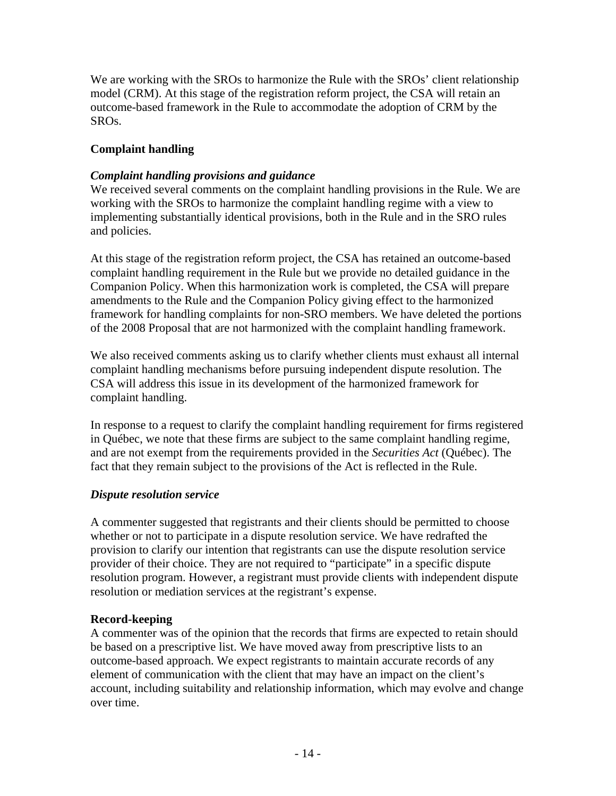We are working with the SROs to harmonize the Rule with the SROs' client relationship model (CRM). At this stage of the registration reform project, the CSA will retain an outcome-based framework in the Rule to accommodate the adoption of CRM by the SROs.

# **Complaint handling**

### *Complaint handling provisions and guidance*

We received several comments on the complaint handling provisions in the Rule. We are working with the SROs to harmonize the complaint handling regime with a view to implementing substantially identical provisions, both in the Rule and in the SRO rules and policies.

At this stage of the registration reform project, the CSA has retained an outcome-based complaint handling requirement in the Rule but we provide no detailed guidance in the Companion Policy. When this harmonization work is completed, the CSA will prepare amendments to the Rule and the Companion Policy giving effect to the harmonized framework for handling complaints for non-SRO members. We have deleted the portions of the 2008 Proposal that are not harmonized with the complaint handling framework.

We also received comments asking us to clarify whether clients must exhaust all internal complaint handling mechanisms before pursuing independent dispute resolution. The CSA will address this issue in its development of the harmonized framework for complaint handling.

In response to a request to clarify the complaint handling requirement for firms registered in Québec, we note that these firms are subject to the same complaint handling regime, and are not exempt from the requirements provided in the *Securities Act* (Québec). The fact that they remain subject to the provisions of the Act is reflected in the Rule.

### *Dispute resolution service*

A commenter suggested that registrants and their clients should be permitted to choose whether or not to participate in a dispute resolution service. We have redrafted the provision to clarify our intention that registrants can use the dispute resolution service provider of their choice. They are not required to "participate" in a specific dispute resolution program. However, a registrant must provide clients with independent dispute resolution or mediation services at the registrant's expense.

### **Record-keeping**

A commenter was of the opinion that the records that firms are expected to retain should be based on a prescriptive list. We have moved away from prescriptive lists to an outcome-based approach. We expect registrants to maintain accurate records of any element of communication with the client that may have an impact on the client's account, including suitability and relationship information, which may evolve and change over time.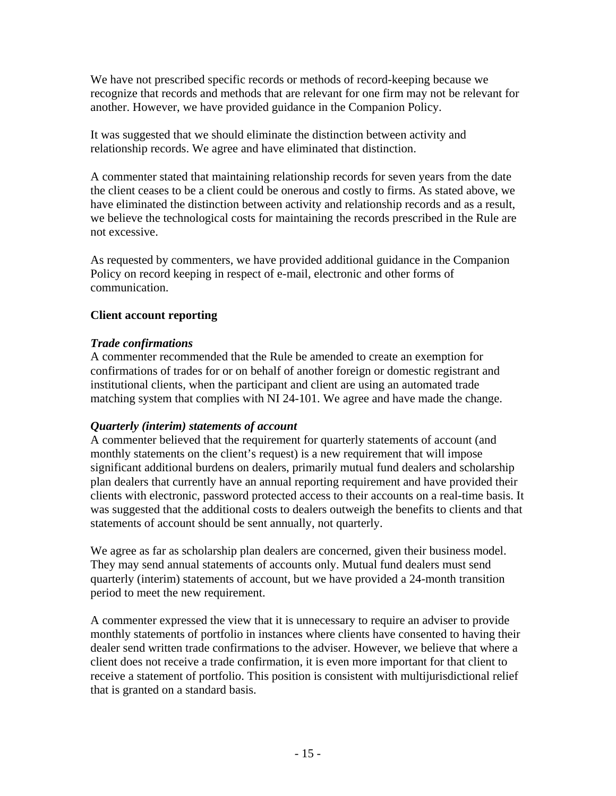We have not prescribed specific records or methods of record-keeping because we recognize that records and methods that are relevant for one firm may not be relevant for another. However, we have provided guidance in the Companion Policy.

It was suggested that we should eliminate the distinction between activity and relationship records. We agree and have eliminated that distinction.

A commenter stated that maintaining relationship records for seven years from the date the client ceases to be a client could be onerous and costly to firms. As stated above, we have eliminated the distinction between activity and relationship records and as a result, we believe the technological costs for maintaining the records prescribed in the Rule are not excessive.

As requested by commenters, we have provided additional guidance in the Companion Policy on record keeping in respect of e-mail, electronic and other forms of communication.

# **Client account reporting**

# *Trade confirmations*

A commenter recommended that the Rule be amended to create an exemption for confirmations of trades for or on behalf of another foreign or domestic registrant and institutional clients, when the participant and client are using an automated trade matching system that complies with NI 24-101. We agree and have made the change.

### *Quarterly (interim) statements of account*

A commenter believed that the requirement for quarterly statements of account (and monthly statements on the client's request) is a new requirement that will impose significant additional burdens on dealers, primarily mutual fund dealers and scholarship plan dealers that currently have an annual reporting requirement and have provided their clients with electronic, password protected access to their accounts on a real-time basis. It was suggested that the additional costs to dealers outweigh the benefits to clients and that statements of account should be sent annually, not quarterly.

We agree as far as scholarship plan dealers are concerned, given their business model. They may send annual statements of accounts only. Mutual fund dealers must send quarterly (interim) statements of account, but we have provided a 24-month transition period to meet the new requirement.

A commenter expressed the view that it is unnecessary to require an adviser to provide monthly statements of portfolio in instances where clients have consented to having their dealer send written trade confirmations to the adviser. However, we believe that where a client does not receive a trade confirmation, it is even more important for that client to receive a statement of portfolio. This position is consistent with multijurisdictional relief that is granted on a standard basis.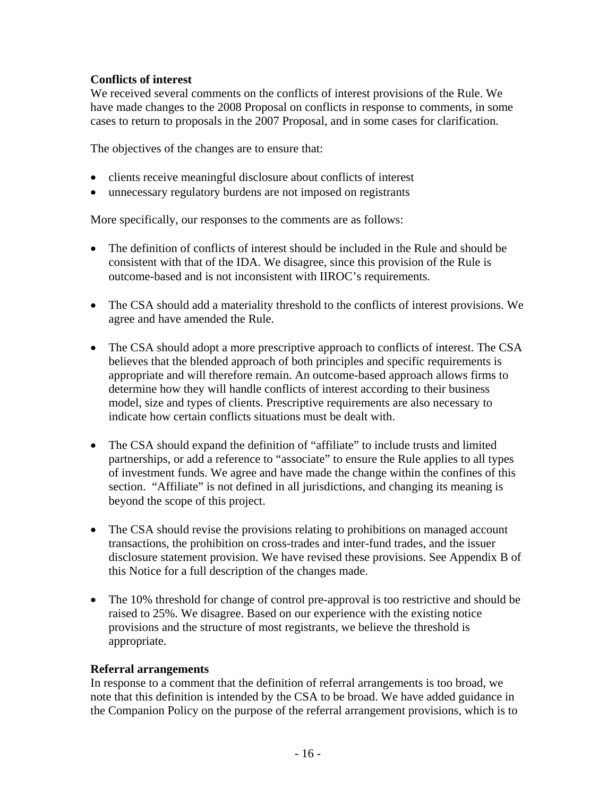# **Conflicts of interest**

We received several comments on the conflicts of interest provisions of the Rule. We have made changes to the 2008 Proposal on conflicts in response to comments, in some cases to return to proposals in the 2007 Proposal, and in some cases for clarification.

The objectives of the changes are to ensure that:

- clients receive meaningful disclosure about conflicts of interest
- unnecessary regulatory burdens are not imposed on registrants

More specifically, our responses to the comments are as follows:

- The definition of conflicts of interest should be included in the Rule and should be consistent with that of the IDA. We disagree, since this provision of the Rule is outcome-based and is not inconsistent with IIROC's requirements.
- The CSA should add a materiality threshold to the conflicts of interest provisions. We agree and have amended the Rule.
- The CSA should adopt a more prescriptive approach to conflicts of interest. The CSA believes that the blended approach of both principles and specific requirements is appropriate and will therefore remain. An outcome-based approach allows firms to determine how they will handle conflicts of interest according to their business model, size and types of clients. Prescriptive requirements are also necessary to indicate how certain conflicts situations must be dealt with.
- The CSA should expand the definition of "affiliate" to include trusts and limited partnerships, or add a reference to "associate" to ensure the Rule applies to all types of investment funds. We agree and have made the change within the confines of this section. "Affiliate" is not defined in all jurisdictions, and changing its meaning is beyond the scope of this project.
- The CSA should revise the provisions relating to prohibitions on managed account transactions, the prohibition on cross-trades and inter-fund trades, and the issuer disclosure statement provision. We have revised these provisions. See Appendix B of this Notice for a full description of the changes made.
- The 10% threshold for change of control pre-approval is too restrictive and should be raised to 25%. We disagree. Based on our experience with the existing notice provisions and the structure of most registrants, we believe the threshold is appropriate.

### **Referral arrangements**

In response to a comment that the definition of referral arrangements is too broad, we note that this definition is intended by the CSA to be broad. We have added guidance in the Companion Policy on the purpose of the referral arrangement provisions, which is to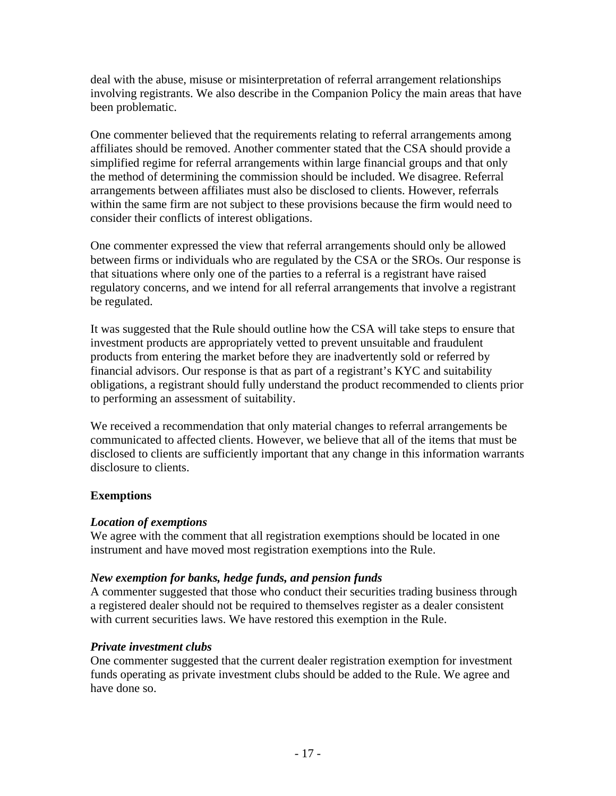deal with the abuse, misuse or misinterpretation of referral arrangement relationships involving registrants. We also describe in the Companion Policy the main areas that have been problematic.

One commenter believed that the requirements relating to referral arrangements among affiliates should be removed. Another commenter stated that the CSA should provide a simplified regime for referral arrangements within large financial groups and that only the method of determining the commission should be included. We disagree. Referral arrangements between affiliates must also be disclosed to clients. However, referrals within the same firm are not subject to these provisions because the firm would need to consider their conflicts of interest obligations.

One commenter expressed the view that referral arrangements should only be allowed between firms or individuals who are regulated by the CSA or the SROs. Our response is that situations where only one of the parties to a referral is a registrant have raised regulatory concerns, and we intend for all referral arrangements that involve a registrant be regulated.

It was suggested that the Rule should outline how the CSA will take steps to ensure that investment products are appropriately vetted to prevent unsuitable and fraudulent products from entering the market before they are inadvertently sold or referred by financial advisors. Our response is that as part of a registrant's KYC and suitability obligations, a registrant should fully understand the product recommended to clients prior to performing an assessment of suitability.

We received a recommendation that only material changes to referral arrangements be communicated to affected clients. However, we believe that all of the items that must be disclosed to clients are sufficiently important that any change in this information warrants disclosure to clients.

### **Exemptions**

### *Location of exemptions*

We agree with the comment that all registration exemptions should be located in one instrument and have moved most registration exemptions into the Rule.

### *New exemption for banks, hedge funds, and pension funds*

A commenter suggested that those who conduct their securities trading business through a registered dealer should not be required to themselves register as a dealer consistent with current securities laws. We have restored this exemption in the Rule.

### *Private investment clubs*

One commenter suggested that the current dealer registration exemption for investment funds operating as private investment clubs should be added to the Rule. We agree and have done so.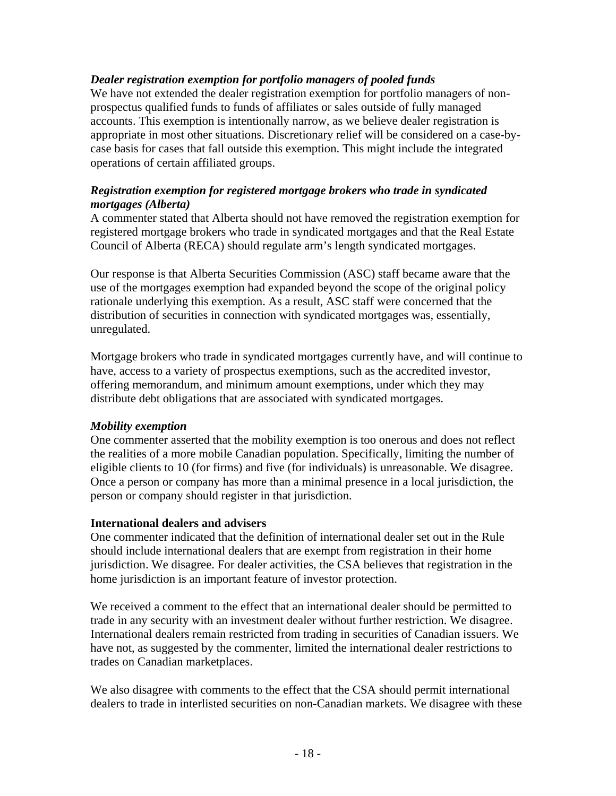### *Dealer registration exemption for portfolio managers of pooled funds*

We have not extended the dealer registration exemption for portfolio managers of nonprospectus qualified funds to funds of affiliates or sales outside of fully managed accounts. This exemption is intentionally narrow, as we believe dealer registration is appropriate in most other situations. Discretionary relief will be considered on a case-bycase basis for cases that fall outside this exemption. This might include the integrated operations of certain affiliated groups.

### *Registration exemption for registered mortgage brokers who trade in syndicated mortgages (Alberta)*

A commenter stated that Alberta should not have removed the registration exemption for registered mortgage brokers who trade in syndicated mortgages and that the Real Estate Council of Alberta (RECA) should regulate arm's length syndicated mortgages.

Our response is that Alberta Securities Commission (ASC) staff became aware that the use of the mortgages exemption had expanded beyond the scope of the original policy rationale underlying this exemption. As a result, ASC staff were concerned that the distribution of securities in connection with syndicated mortgages was, essentially, unregulated.

Mortgage brokers who trade in syndicated mortgages currently have, and will continue to have, access to a variety of prospectus exemptions, such as the accredited investor, offering memorandum, and minimum amount exemptions, under which they may distribute debt obligations that are associated with syndicated mortgages.

### *Mobility exemption*

One commenter asserted that the mobility exemption is too onerous and does not reflect the realities of a more mobile Canadian population. Specifically, limiting the number of eligible clients to 10 (for firms) and five (for individuals) is unreasonable. We disagree. Once a person or company has more than a minimal presence in a local jurisdiction, the person or company should register in that jurisdiction.

### **International dealers and advisers**

One commenter indicated that the definition of international dealer set out in the Rule should include international dealers that are exempt from registration in their home jurisdiction. We disagree. For dealer activities, the CSA believes that registration in the home jurisdiction is an important feature of investor protection.

We received a comment to the effect that an international dealer should be permitted to trade in any security with an investment dealer without further restriction. We disagree. International dealers remain restricted from trading in securities of Canadian issuers. We have not, as suggested by the commenter, limited the international dealer restrictions to trades on Canadian marketplaces.

We also disagree with comments to the effect that the CSA should permit international dealers to trade in interlisted securities on non-Canadian markets. We disagree with these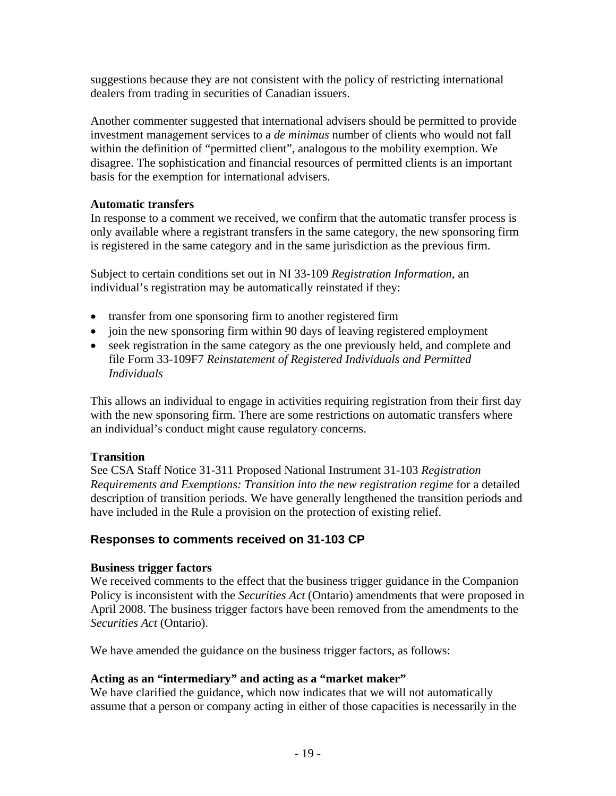suggestions because they are not consistent with the policy of restricting international dealers from trading in securities of Canadian issuers.

Another commenter suggested that international advisers should be permitted to provide investment management services to a *de minimus* number of clients who would not fall within the definition of "permitted client", analogous to the mobility exemption. We disagree. The sophistication and financial resources of permitted clients is an important basis for the exemption for international advisers.

### **Automatic transfers**

In response to a comment we received, we confirm that the automatic transfer process is only available where a registrant transfers in the same category, the new sponsoring firm is registered in the same category and in the same jurisdiction as the previous firm.

Subject to certain conditions set out in NI 33-109 *Registration Information*, an individual's registration may be automatically reinstated if they:

- transfer from one sponsoring firm to another registered firm
- join the new sponsoring firm within 90 days of leaving registered employment
- seek registration in the same category as the one previously held, and complete and file Form 33-109F7 *Reinstatement of Registered Individuals and Permitted Individuals*

This allows an individual to engage in activities requiring registration from their first day with the new sponsoring firm. There are some restrictions on automatic transfers where an individual's conduct might cause regulatory concerns.

#### **Transition**

See CSA Staff Notice 31-311 Proposed National Instrument 31-103 *Registration Requirements and Exemptions: Transition into the new registration regime* for a detailed description of transition periods. We have generally lengthened the transition periods and have included in the Rule a provision on the protection of existing relief.

### **Responses to comments received on 31-103 CP**

#### **Business trigger factors**

We received comments to the effect that the business trigger guidance in the Companion Policy is inconsistent with the *Securities Act* (Ontario) amendments that were proposed in April 2008. The business trigger factors have been removed from the amendments to the *Securities Act* (Ontario).

We have amended the guidance on the business trigger factors, as follows:

#### **Acting as an "intermediary" and acting as a "market maker"**

We have clarified the guidance, which now indicates that we will not automatically assume that a person or company acting in either of those capacities is necessarily in the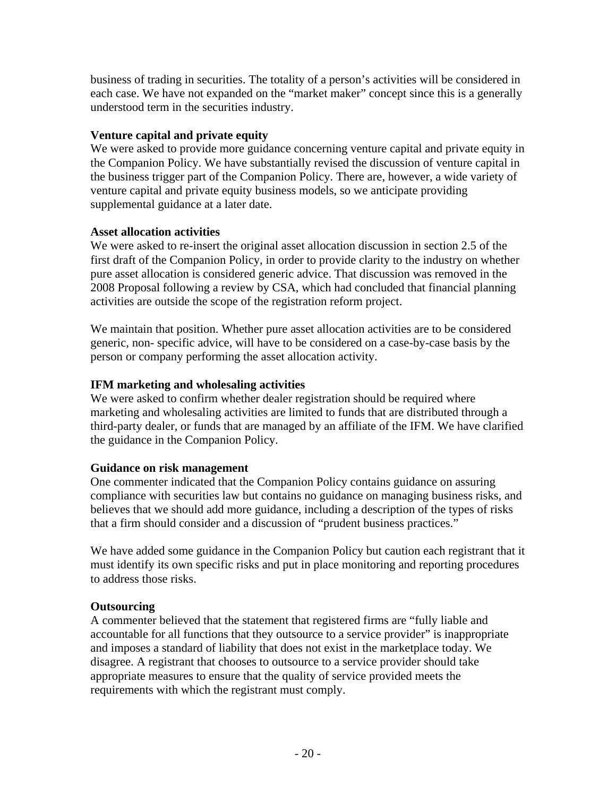business of trading in securities. The totality of a person's activities will be considered in each case. We have not expanded on the "market maker" concept since this is a generally understood term in the securities industry.

# **Venture capital and private equity**

We were asked to provide more guidance concerning venture capital and private equity in the Companion Policy. We have substantially revised the discussion of venture capital in the business trigger part of the Companion Policy. There are, however, a wide variety of venture capital and private equity business models, so we anticipate providing supplemental guidance at a later date.

# **Asset allocation activities**

We were asked to re-insert the original asset allocation discussion in section 2.5 of the first draft of the Companion Policy, in order to provide clarity to the industry on whether pure asset allocation is considered generic advice. That discussion was removed in the 2008 Proposal following a review by CSA, which had concluded that financial planning activities are outside the scope of the registration reform project.

We maintain that position. Whether pure asset allocation activities are to be considered generic, non- specific advice, will have to be considered on a case-by-case basis by the person or company performing the asset allocation activity.

# **IFM marketing and wholesaling activities**

We were asked to confirm whether dealer registration should be required where marketing and wholesaling activities are limited to funds that are distributed through a third-party dealer, or funds that are managed by an affiliate of the IFM. We have clarified the guidance in the Companion Policy.

### **Guidance on risk management**

One commenter indicated that the Companion Policy contains guidance on assuring compliance with securities law but contains no guidance on managing business risks, and believes that we should add more guidance, including a description of the types of risks that a firm should consider and a discussion of "prudent business practices."

We have added some guidance in the Companion Policy but caution each registrant that it must identify its own specific risks and put in place monitoring and reporting procedures to address those risks.

# **Outsourcing**

A commenter believed that the statement that registered firms are "fully liable and accountable for all functions that they outsource to a service provider" is inappropriate and imposes a standard of liability that does not exist in the marketplace today. We disagree. A registrant that chooses to outsource to a service provider should take appropriate measures to ensure that the quality of service provided meets the requirements with which the registrant must comply.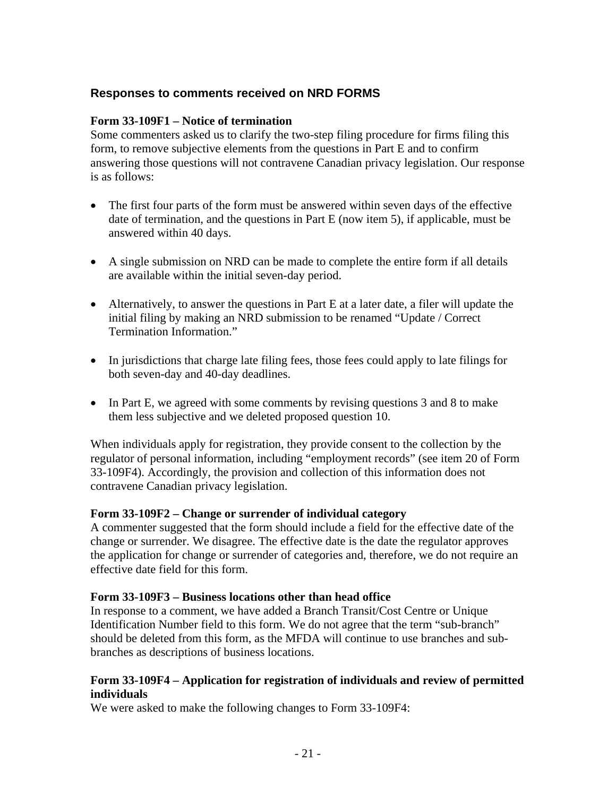# **Responses to comments received on NRD FORMS**

### **Form 33-109F1 – Notice of termination**

Some commenters asked us to clarify the two-step filing procedure for firms filing this form, to remove subjective elements from the questions in Part E and to confirm answering those questions will not contravene Canadian privacy legislation. Our response is as follows:

- The first four parts of the form must be answered within seven days of the effective date of termination, and the questions in Part E (now item 5), if applicable, must be answered within 40 days.
- A single submission on NRD can be made to complete the entire form if all details are available within the initial seven-day period.
- Alternatively, to answer the questions in Part E at a later date, a filer will update the initial filing by making an NRD submission to be renamed "Update / Correct Termination Information."
- In jurisdictions that charge late filing fees, those fees could apply to late filings for both seven-day and 40-day deadlines.
- In Part E, we agreed with some comments by revising questions 3 and 8 to make them less subjective and we deleted proposed question 10.

When individuals apply for registration, they provide consent to the collection by the regulator of personal information, including "employment records" (see item 20 of Form 33-109F4). Accordingly, the provision and collection of this information does not contravene Canadian privacy legislation.

### **Form 33-109F2 – Change or surrender of individual category**

A commenter suggested that the form should include a field for the effective date of the change or surrender. We disagree. The effective date is the date the regulator approves the application for change or surrender of categories and, therefore, we do not require an effective date field for this form.

### **Form 33-109F3 – Business locations other than head office**

In response to a comment, we have added a Branch Transit/Cost Centre or Unique Identification Number field to this form. We do not agree that the term "sub-branch" should be deleted from this form, as the MFDA will continue to use branches and subbranches as descriptions of business locations.

### **Form 33-109F4 – Application for registration of individuals and review of permitted individuals**

We were asked to make the following changes to Form 33-109F4: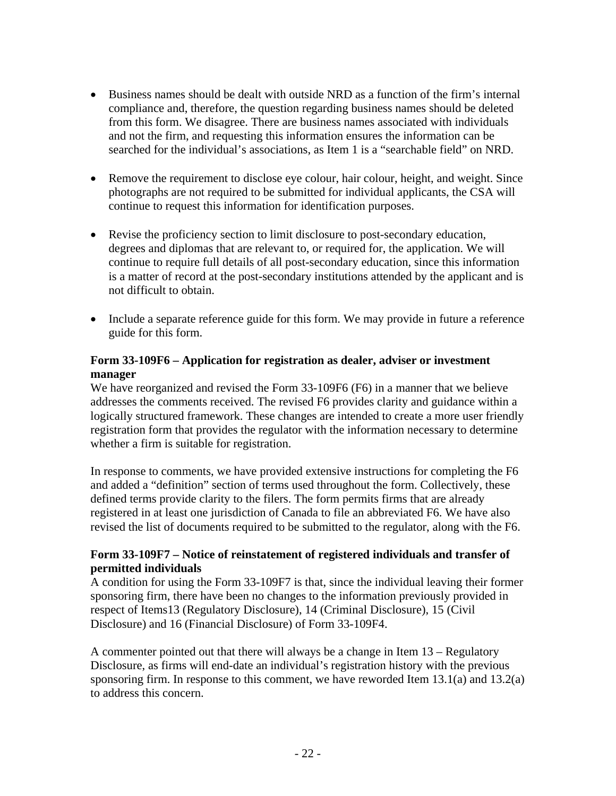- Business names should be dealt with outside NRD as a function of the firm's internal compliance and, therefore, the question regarding business names should be deleted from this form. We disagree. There are business names associated with individuals and not the firm, and requesting this information ensures the information can be searched for the individual's associations, as Item 1 is a "searchable field" on NRD.
- Remove the requirement to disclose eye colour, hair colour, height, and weight. Since photographs are not required to be submitted for individual applicants, the CSA will continue to request this information for identification purposes.
- Revise the proficiency section to limit disclosure to post-secondary education, degrees and diplomas that are relevant to, or required for, the application. We will continue to require full details of all post-secondary education, since this information is a matter of record at the post-secondary institutions attended by the applicant and is not difficult to obtain.
- Include a separate reference guide for this form. We may provide in future a reference guide for this form.

### **Form 33-109F6 – Application for registration as dealer, adviser or investment manager**

We have reorganized and revised the Form 33-109F6 (F6) in a manner that we believe addresses the comments received. The revised F6 provides clarity and guidance within a logically structured framework. These changes are intended to create a more user friendly registration form that provides the regulator with the information necessary to determine whether a firm is suitable for registration.

In response to comments, we have provided extensive instructions for completing the F6 and added a "definition" section of terms used throughout the form. Collectively, these defined terms provide clarity to the filers. The form permits firms that are already registered in at least one jurisdiction of Canada to file an abbreviated F6. We have also revised the list of documents required to be submitted to the regulator, along with the F6.

### **Form 33-109F7 – Notice of reinstatement of registered individuals and transfer of permitted individuals**

A condition for using the Form 33-109F7 is that, since the individual leaving their former sponsoring firm, there have been no changes to the information previously provided in respect of Items13 (Regulatory Disclosure), 14 (Criminal Disclosure), 15 (Civil Disclosure) and 16 (Financial Disclosure) of Form 33-109F4.

A commenter pointed out that there will always be a change in Item 13 – Regulatory Disclosure, as firms will end-date an individual's registration history with the previous sponsoring firm. In response to this comment, we have reworded Item 13.1(a) and 13.2(a) to address this concern.